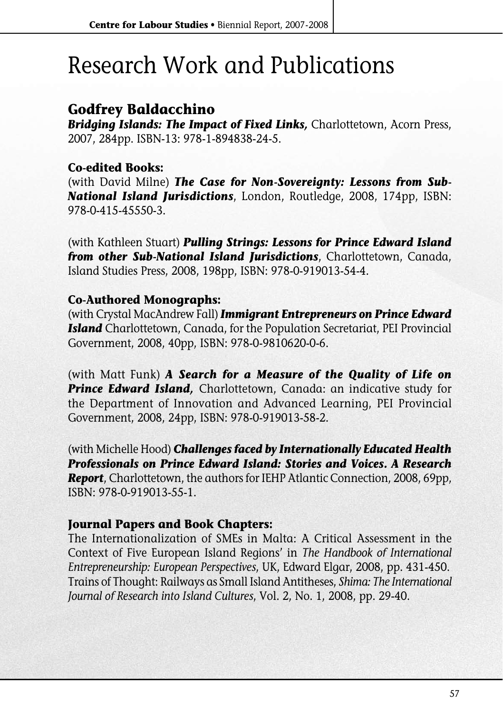# Research Work and Publications

## **Godfrey Baldacchino**

*Bridging Islands: The Impact of Fixed Links,* Charlottetown, Acorn Press, 2007, 284pp. ISBN-13: 978-1-894838-24-5.

#### **Co-edited Books:**

(with David Milne) *The Case for Non-Sovereignty: Lessons from Sub-National Island Jurisdictions*, London, Routledge, 2008, 174pp, ISBN: 978-0-415-45550-3.

(with Kathleen Stuart) *Pulling Strings: Lessons for Prince Edward Island from other Sub-National Island Jurisdictions*, Charlottetown, Canada, Island Studies Press, 2008, 198pp, ISBN: 978-0-919013-54-4.

#### **Co-Authored Monographs:**

(with Crystal MacAndrew Fall) *Immigrant Entrepreneurs on Prince Edward Island* Charlottetown, Canada, for the Population Secretariat, PEI Provincial Government, 2008, 40pp, ISBN: 978-0-9810620-0-6.

(with Matt Funk) *A Search for a Measure of the Quality of Life on Prince Edward Island,* Charlottetown, Canada: an indicative study for the Department of Innovation and Advanced Learning, PEI Provincial Government, 2008, 24pp, ISBN: 978-0-919013-58-2.

(with Michelle Hood) *Challenges faced by Internationally Educated Health Professionals on Prince Edward Island: Stories and Voices. A Research Report*, Charlottetown, the authors for IEHP Atlantic Connection, 2008, 69pp, ISBN: 978-0-919013-55-1.

#### **Journal Papers and Book Chapters:**

The Internationalization of SMEs in Malta: A Critical Assessment in the Context of Five European Island Regions' in *The Handbook of International Entrepreneurship: European Perspectives*, UK, Edward Elgar, 2008, pp. 431-450. Trains of Thought: Railways as Small Island Antitheses, *Shima: The International Journal of Research into Island Cultures*, Vol. 2, No. 1, 2008, pp. 29-40.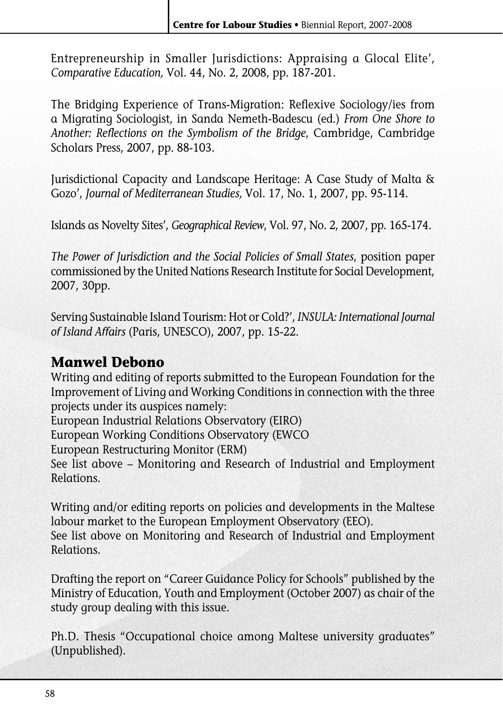Entrepreneurship in Smaller Jurisdictions: Appraising a Glocal Elite', *Comparative Education,* Vol. 44, No. 2, 2008, pp. 187-201.

The Bridging Experience of Trans-Migration: Reflexive Sociology/ies from a Migrating Sociologist, in Sanda Nemeth-Badescu (ed.) *From One Shore to Another: Reflections on the Symbolism of the Bridge*, Cambridge, Cambridge Scholars Press, 2007, pp. 88-103.

Jurisdictional Capacity and Landscape Heritage: A Case Study of Malta & Gozo', *Journal of Mediterranean Studies,* Vol. 17, No. 1, 2007, pp. 95-114.

Islands as Novelty Sites', *Geographical Review*, Vol. 97, No. 2, 2007, pp. 165-174.

*The Power of Jurisdiction and the Social Policies of Small States*, position paper commissioned by the United Nations Research Institute for Social Development, 2007, 30pp.

Serving Sustainable Island Tourism: Hot or Cold?', *INSULA: International Journal of Island Affairs* (Paris, UNESCO), 2007, pp. 15-22.

## **Manwel Debono**

Writing and editing of reports submitted to the European Foundation for the Improvement of Living and Working Conditions in connection with the three projects under its auspices namely:

European Industrial Relations Observatory (EIRO)

European Working Conditions Observatory (EWCO

European Restructuring Monitor (ERM)

See list above – Monitoring and Research of Industrial and Employment Relations.

Writing and/or editing reports on policies and developments in the Maltese labour market to the European Employment Observatory (EEO). See list above on Monitoring and Research of Industrial and Employment Relations.

Drafting the report on "Career Guidance Policy for Schools" published by the Ministry of Education, Youth and Employment (October 2007) as chair of the study group dealing with this issue.

Ph.D. Thesis "Occupational choice among Maltese university graduates" (Unpublished).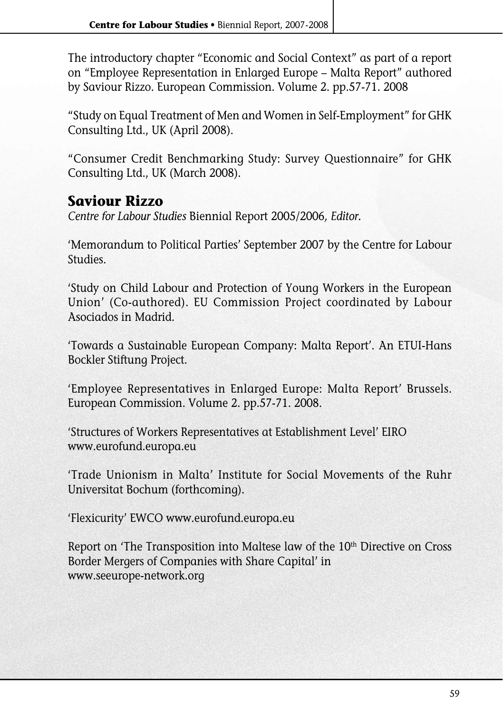The introductory chapter "Economic and Social Context" as part of a report on "Employee Representation in Enlarged Europe – Malta Report" authored by Saviour Rizzo. European Commission. Volume 2. pp.57-71. 2008

"Study on Equal Treatment of Men and Women in Self-Employment" for GHK Consulting Ltd., UK (April 2008).

"Consumer Credit Benchmarking Study: Survey Questionnaire" for GHK Consulting Ltd., UK (March 2008).

### **Saviour Rizzo**

*Centre for Labour Studies* Biennial Report 2005/2006*, Editor.*

'Memorandum to Political Parties' September 2007 by the Centre for Labour Studies.

'Study on Child Labour and Protection of Young Workers in the European Union' (Co-authored). EU Commission Project coordinated by Labour Asociados in Madrid.

'Towards a Sustainable European Company: Malta Report'. An ETUI-Hans Bockler Stiftung Project.

'Employee Representatives in Enlarged Europe: Malta Report' Brussels. European Commission. Volume 2. pp.57-71. 2008.

'Structures of Workers Representatives at Establishment Level' EIRO www.eurofund.europa.eu

'Trade Unionism in Malta' Institute for Social Movements of the Ruhr Universitat Bochum (forthcoming).

'Flexicurity' EWCO www.eurofund.europa.eu

Report on 'The Transposition into Maltese law of the 10<sup>th</sup> Directive on Cross Border Mergers of Companies with Share Capital' in www.seeurope-network.org